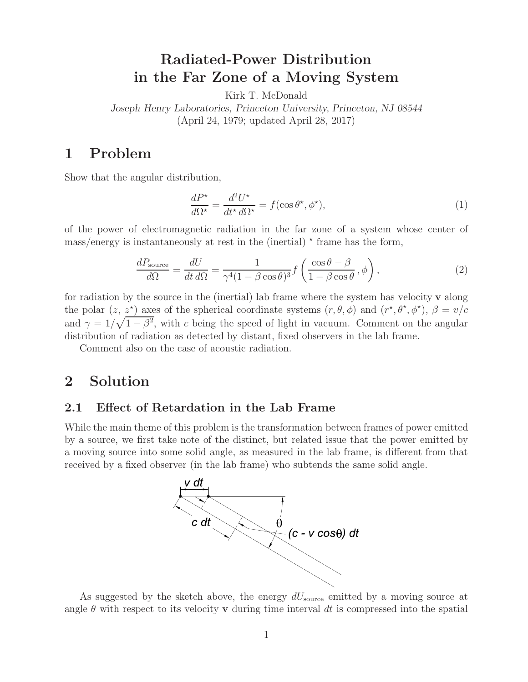# **Radiated-Power Distribution in the Far Zone of a Moving System**

Kirk T. McDonald

*Joseph Henry Laboratories, Princeton University, Princeton, NJ 08544* (April 24, 1979; updated April 28, 2017)

# **1 Problem**

Show that the angular distribution,

$$
\frac{dP^{\star}}{d\Omega^{\star}} = \frac{d^2U^{\star}}{dt^{\star} d\Omega^{\star}} = f(\cos\theta^{\star}, \phi^{\star}),\tag{1}
$$

of the power of electromagnetic radiation in the far zone of a system whose center of  $\text{mass/energy}$  is instantaneously at rest in the (inertial)  $\star$  frame has the form,

$$
\frac{dP_{\text{source}}}{d\Omega} = \frac{dU}{dt \, d\Omega} = \frac{1}{\gamma^4 (1 - \beta \cos \theta)^3} f\left(\frac{\cos \theta - \beta}{1 - \beta \cos \theta}, \phi\right),\tag{2}
$$

for radiation by the source in the (inertial) lab frame where the system has velocity **v** along the polar  $(z, z^*)$  axes of the spherical coordinate systems  $(r, \theta, \phi)$  and  $(r^*, \theta^*, \phi^*)$ ,  $\beta = v/c$ and  $\gamma = 1/\sqrt{1-\beta^2}$ , with c being the speed of light in vacuum. Comment on the angular distribution of radiation as detected by distant, fixed observers in the lab frame.

Comment also on the case of acoustic radiation.

# **2 Solution**

## **2.1 Effect of Retardation in the Lab Frame**

While the main theme of this problem is the transformation between frames of power emitted by a source, we first take note of the distinct, but related issue that the power emitted by a moving source into some solid angle, as measured in the lab frame, is different from that received by a fixed observer (in the lab frame) who subtends the same solid angle.



As suggested by the sketch above, the energy  $dU_{\text{source}}$  emitted by a moving source at angle  $\theta$  with respect to its velocity **v** during time interval dt is compressed into the spatial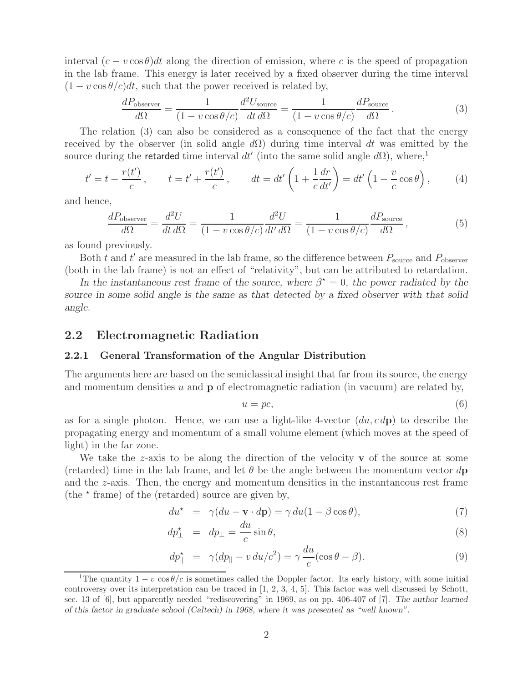interval  $(c - v \cos \theta)dt$  along the direction of emission, where c is the speed of propagation in the lab frame. This energy is later received by a fixed observer during the time interval  $(1 - v \cos \theta/c)dt$ , such that the power received is related by,

$$
\frac{dP_{\text{observer}}}{d\Omega} = \frac{1}{(1 - v \cos \theta/c)} \frac{d^2 U_{\text{source}}}{dt \, d\Omega} = \frac{1}{(1 - v \cos \theta/c)} \frac{dP_{\text{source}}}{d\Omega}.
$$
\n(3)

The relation (3) can also be considered as a consequence of the fact that the energy received by the observer (in solid angle  $d\Omega$ ) during time interval dt was emitted by the source during the retarded time interval  $dt'$  (into the same solid angle  $d\Omega$ ), where,<sup>1</sup>

$$
t' = t - \frac{r(t')}{c}, \qquad t = t' + \frac{r(t')}{c}, \qquad dt = dt' \left( 1 + \frac{1}{c} \frac{dr}{dt'} \right) = dt' \left( 1 - \frac{v}{c} \cos \theta \right), \tag{4}
$$

and hence,

$$
\frac{dP_{\text{observer}}}{d\Omega} = \frac{d^2U}{dt\,d\Omega} = \frac{1}{(1 - v\cos\theta/c)}\frac{d^2U}{dt'\,d\Omega} = \frac{1}{(1 - v\cos\theta/c)}\frac{dP_{\text{source}}}{d\Omega},\tag{5}
$$

as found previously.

Both t and t' are measured in the lab frame, so the difference between  $P_{\text{source}}$  and  $P_{\text{observer}}$ (both in the lab frame) is not an effect of "relativity", but can be attributed to retardation.

*In the instantaneous rest frame of the source, where*  $\beta^* = 0$ *, the power radiated by the source in some solid angle is the same as that detected by a fixed observer with that solid angle.*

### **2.2 Electromagnetic Radiation**

#### **2.2.1 General Transformation of the Angular Distribution**

The arguments here are based on the semiclassical insight that far from its source, the energy and momentum densities u and  $\bf{p}$  of electromagnetic radiation (in vacuum) are related by,

$$
u = pc,\t\t(6)
$$

as for a single photon. Hence, we can use a light-like 4-vector  $(du, c\,d\mathbf{p})$  to describe the propagating energy and momentum of a small volume element (which moves at the speed of light) in the far zone.

We take the z-axis to be along the direction of the velocity **v** of the source at some (retarded) time in the lab frame, and let  $\theta$  be the angle between the momentum vector  $d\mathbf{p}$ and the z-axis. Then, the energy and momentum densities in the instantaneous rest frame (the  $*$  frame) of the (retarded) source are given by,

$$
du^* = \gamma (du - \mathbf{v} \cdot d\mathbf{p}) = \gamma du (1 - \beta \cos \theta), \tag{7}
$$

$$
dp_{\perp}^{\star} = dp_{\perp} = \frac{du}{c} \sin \theta, \tag{8}
$$

$$
dp_{\parallel}^{\star} = \gamma (dp_{\parallel} - v du/c^2) = \gamma \frac{du}{c} (\cos \theta - \beta). \tag{9}
$$

<sup>&</sup>lt;sup>1</sup>The quantity  $1 - v \cos \theta/c$  is sometimes called the Doppler factor. Its early history, with some initial controversy over its interpretation can be traced in [1, 2, 3, 4, 5]. This factor was well discussed by Schott, sec. 13 of [6], but apparently needed "rediscovering" in 1969, as on pp. 406-407 of [7]. *The author learned of this factor in graduate school (Caltech) in 1968, where it was presented as "well known".*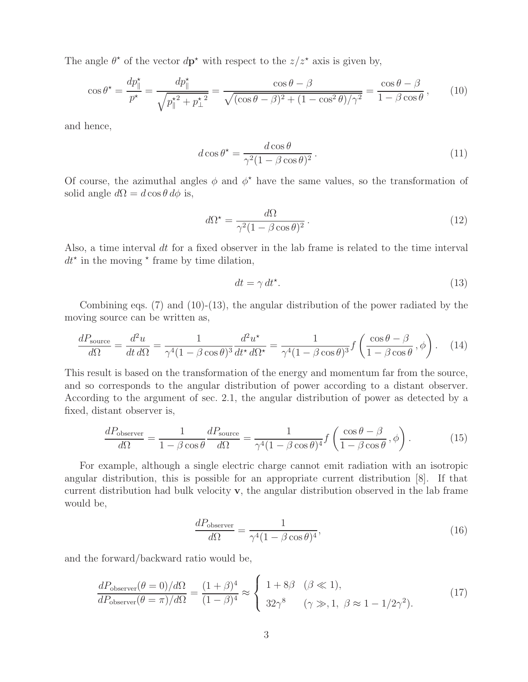The angle  $\theta^*$  of the vector  $d\mathbf{p}^*$  with respect to the  $z/z^*$  axis is given by,

$$
\cos \theta^* = \frac{dp_{\parallel}^*}{p^*} = \frac{dp_{\parallel}^*}{\sqrt{p_{\parallel}^{*2} + p_{\perp}^{*2}}} = \frac{\cos \theta - \beta}{\sqrt{(\cos \theta - \beta)^2 + (1 - \cos^2 \theta)/\gamma^2}} = \frac{\cos \theta - \beta}{1 - \beta \cos \theta},\qquad(10)
$$

and hence,

$$
d\cos\theta^* = \frac{d\cos\theta}{\gamma^2 (1 - \beta\cos\theta)^2}.
$$
 (11)

Of course, the azimuthal angles  $\phi$  and  $\phi^*$  have the same values, so the transformation of solid angle  $d\Omega = d \cos \theta d\phi$  is,

$$
d\Omega^* = \frac{d\Omega}{\gamma^2 (1 - \beta \cos \theta)^2}.
$$
 (12)

Also, a time interval  $dt$  for a fixed observer in the lab frame is related to the time interval  $dt^*$  in the moving  $*$  frame by time dilation,

$$
dt = \gamma \, dt^*.
$$
\n(13)

Combining eqs.  $(7)$  and  $(10)-(13)$ , the angular distribution of the power radiated by the moving source can be written as,

$$
\frac{dP_{\text{source}}}{d\Omega} = \frac{d^2u}{dt\,d\Omega} = \frac{1}{\gamma^4(1-\beta\cos\theta)^3}\frac{d^2u^*}{dt^*d\Omega^*} = \frac{1}{\gamma^4(1-\beta\cos\theta)^3}f\left(\frac{\cos\theta-\beta}{1-\beta\cos\theta},\phi\right). \tag{14}
$$

This result is based on the transformation of the energy and momentum far from the source, and so corresponds to the angular distribution of power according to a distant observer. According to the argument of sec. 2.1, the angular distribution of power as detected by a fixed, distant observer is,

$$
\frac{dP_{\text{observer}}}{d\Omega} = \frac{1}{1 - \beta \cos \theta} \frac{dP_{\text{source}}}{d\Omega} = \frac{1}{\gamma^4 (1 - \beta \cos \theta)^4} f\left(\frac{\cos \theta - \beta}{1 - \beta \cos \theta}, \phi\right). \tag{15}
$$

For example, although a single electric charge cannot emit radiation with an isotropic angular distribution, this is possible for an appropriate current distribution [8]. If that current distribution had bulk velocity **v**, the angular distribution observed in the lab frame would be,

$$
\frac{dP_{\text{observer}}}{d\Omega} = \frac{1}{\gamma^4 (1 - \beta \cos \theta)^4},\tag{16}
$$

and the forward/backward ratio would be,

$$
\frac{dP_{\text{observer}}(\theta = 0)/d\Omega}{dP_{\text{observer}}(\theta = \pi)/d\Omega} = \frac{(1+\beta)^4}{(1-\beta)^4} \approx \begin{cases} 1+8\beta & (\beta \ll 1),\\ 32\gamma^8 & (\gamma \gg, 1, \ \beta \approx 1-1/2\gamma^2). \end{cases}
$$
(17)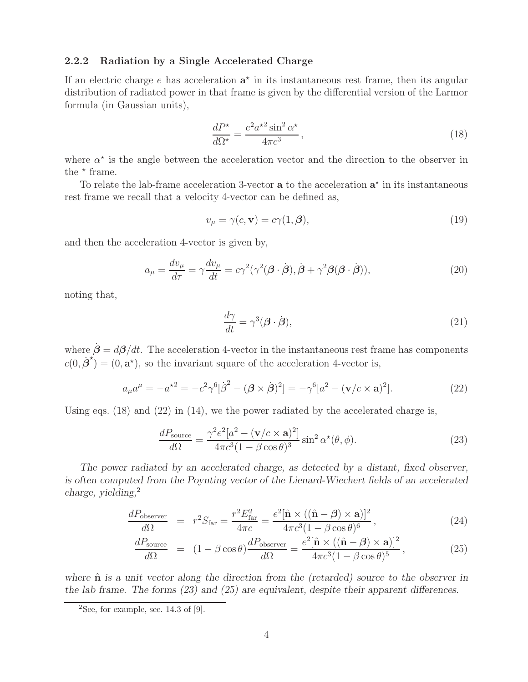#### **2.2.2 Radiation by a Single Accelerated Charge**

If an electric charge  $e$  has acceleration  $a^*$  in its instantaneous rest frame, then its angular distribution of radiated power in that frame is given by the differential version of the Larmor formula (in Gaussian units),

$$
\frac{dP^{\star}}{d\Omega^{\star}} = \frac{e^2 a^{\star 2} \sin^2 \alpha^{\star}}{4\pi c^3},\tag{18}
$$

where  $\alpha^*$  is the angle between the acceleration vector and the direction to the observer in the  $*$  frame.

To relate the lab-frame acceleration 3-vector  $a$  to the acceleration  $a^*$  in its instantaneous rest frame we recall that a velocity 4-vector can be defined as,

$$
v_{\mu} = \gamma(c, \mathbf{v}) = c\gamma(1, \beta),\tag{19}
$$

and then the acceleration 4-vector is given by,

$$
a_{\mu} = \frac{dv_{\mu}}{d\tau} = \gamma \frac{dv_{\mu}}{dt} = c\gamma^{2}(\gamma^{2}(\boldsymbol{\beta} \cdot \dot{\boldsymbol{\beta}}), \dot{\boldsymbol{\beta}} + \gamma^{2}\boldsymbol{\beta}(\boldsymbol{\beta} \cdot \dot{\boldsymbol{\beta}})),
$$
\n(20)

noting that,

$$
\frac{d\gamma}{dt} = \gamma^3 (\boldsymbol{\beta} \cdot \dot{\boldsymbol{\beta}}),\tag{21}
$$

where  $\dot{\beta} = d\beta/dt$ . The acceleration 4-vector in the instantaneous rest frame has components  $c(0, \dot{\boldsymbol{\beta}}^{\star}) = (0, \mathbf{a}^{\star}),$  so the invariant square of the acceleration 4-vector is,

$$
a_{\mu}a^{\mu} = -a^{\star 2} = -c^2 \gamma^6 [\dot{\beta}^2 - (\mathbf{\beta} \times \dot{\mathbf{\beta}})^2] = -\gamma^6 [a^2 - (\mathbf{v}/c \times \mathbf{a})^2].
$$
 (22)

Using eqs.  $(18)$  and  $(22)$  in  $(14)$ , we the power radiated by the accelerated charge is,

$$
\frac{dP_{\text{source}}}{d\Omega} = \frac{\gamma^2 e^2 [a^2 - (\mathbf{v}/c \times \mathbf{a})^2]}{4\pi c^3 (1 - \beta \cos \theta)^3} \sin^2 \alpha^*(\theta, \phi).
$$
 (23)

*The power radiated by an accelerated charge, as detected by a distant, fixed observer, is often computed from the Poynting vector of the Lienard-Wiechert fields of an accelerated charge, yielding,*<sup>2</sup>

$$
\frac{dP_{\text{observer}}}{d\Omega} = r^2 S_{\text{far}} = \frac{r^2 E_{\text{far}}^2}{4\pi c} = \frac{e^2 [\hat{\mathbf{n}} \times ((\hat{\mathbf{n}} - \boldsymbol{\beta}) \times \mathbf{a})]^2}{4\pi c^3 (1 - \beta \cos \theta)^6},
$$
(24)

$$
\frac{dP_{\text{source}}}{d\Omega} = (1 - \beta \cos \theta) \frac{dP_{\text{observer}}}{d\Omega} = \frac{e^2 [\hat{\mathbf{n}} \times ((\hat{\mathbf{n}} - \beta) \times \mathbf{a})]^2}{4\pi c^3 (1 - \beta \cos \theta)^5},
$$
(25)

where  $\hat{\bf{n}}$  *is a unit vector along the direction from the (retarded) source to the observer in the lab frame. The forms (23) and (25) are equivalent, despite their apparent differences.*

<sup>&</sup>lt;sup>2</sup>See, for example, sec. 14.3 of [9].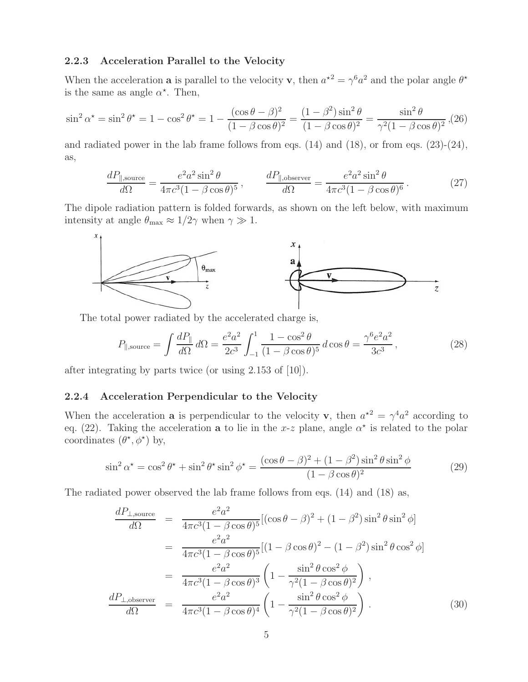#### **2.2.3 Acceleration Parallel to the Velocity**

When the acceleration **a** is parallel to the velocity **v**, then  $a^{*2} = \gamma^6 a^2$  and the polar angle  $\theta^*$ is the same as angle  $\alpha^*$ . Then,

$$
\sin^2 \alpha^* = \sin^2 \theta^* = 1 - \cos^2 \theta^* = 1 - \frac{(\cos \theta - \beta)^2}{(1 - \beta \cos \theta)^2} = \frac{(1 - \beta^2)\sin^2 \theta}{(1 - \beta \cos \theta)^2} = \frac{\sin^2 \theta}{\gamma^2 (1 - \beta \cos \theta)^2},
$$
(26)

and radiated power in the lab frame follows from eqs.  $(14)$  and  $(18)$ , or from eqs.  $(23)-(24)$ , as,

$$
\frac{dP_{\parallel,\text{source}}}{d\Omega} = \frac{e^2 a^2 \sin^2 \theta}{4\pi c^3 (1 - \beta \cos \theta)^5}, \qquad \frac{dP_{\parallel,\text{observer}}}{d\Omega} = \frac{e^2 a^2 \sin^2 \theta}{4\pi c^3 (1 - \beta \cos \theta)^6}.
$$
(27)

The dipole radiation pattern is folded forwards, as shown on the left below, with maximum intensity at angle  $\theta_{\text{max}} \approx 1/2\gamma$  when  $\gamma \gg 1$ .



The total power radiated by the accelerated charge is,

$$
P_{\parallel, \text{source}} = \int \frac{dP_{\parallel}}{d\Omega} d\Omega = \frac{e^2 a^2}{2c^3} \int_{-1}^{1} \frac{1 - \cos^2 \theta}{(1 - \beta \cos \theta)^5} d\cos \theta = \frac{\gamma^6 e^2 a^2}{3c^3},\tag{28}
$$

after integrating by parts twice (or using 2.153 of [10]).

#### **2.2.4 Acceleration Perpendicular to the Velocity**

When the acceleration **a** is perpendicular to the velocity **v**, then  $a^{2} = \gamma^4 a^2$  according to eq. (22). Taking the acceleration **a** to lie in the x-z plane, angle  $\alpha^*$  is related to the polar coordinates  $(\theta^*, \phi^*)$  by,

$$
\sin^2 \alpha^* = \cos^2 \theta^* + \sin^2 \theta^* \sin^2 \phi^* = \frac{(\cos \theta - \beta)^2 + (1 - \beta^2) \sin^2 \theta \sin^2 \phi}{(1 - \beta \cos \theta)^2}
$$
(29)

The radiated power observed the lab frame follows from eqs. (14) and (18) as,

$$
\frac{dP_{\perp,\text{source}}}{d\Omega} = \frac{e^2 a^2}{4\pi c^3 (1 - \beta \cos \theta)^5} [(\cos \theta - \beta)^2 + (1 - \beta^2) \sin^2 \theta \sin^2 \phi]
$$
  
\n
$$
= \frac{e^2 a^2}{4\pi c^3 (1 - \beta \cos \theta)^5} [(1 - \beta \cos \theta)^2 - (1 - \beta^2) \sin^2 \theta \cos^2 \phi]
$$
  
\n
$$
= \frac{e^2 a^2}{4\pi c^3 (1 - \beta \cos \theta)^3} \left(1 - \frac{\sin^2 \theta \cos^2 \phi}{\gamma^2 (1 - \beta \cos \theta)^2}\right),
$$
  
\n
$$
\frac{dP_{\perp,\text{observer}}}{d\Omega} = \frac{e^2 a^2}{4\pi c^3 (1 - \beta \cos \theta)^4} \left(1 - \frac{\sin^2 \theta \cos^2 \phi}{\gamma^2 (1 - \beta \cos \theta)^2}\right).
$$
(30)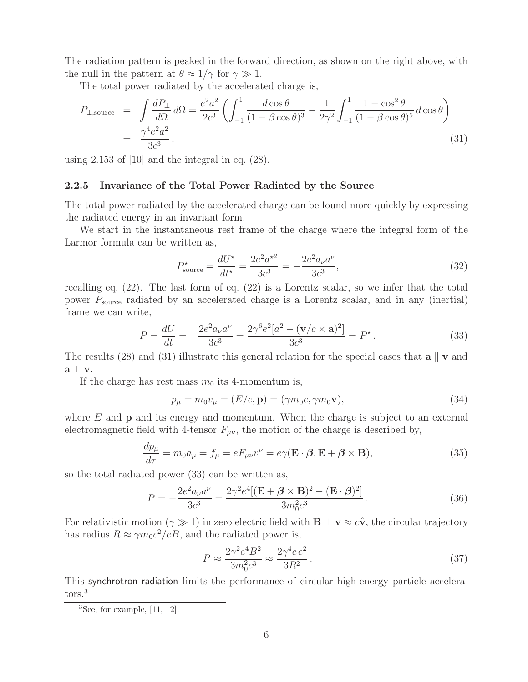The radiation pattern is peaked in the forward direction, as shown on the right above, with the null in the pattern at  $\theta \approx 1/\gamma$  for  $\gamma \gg 1$ .

The total power radiated by the accelerated charge is,

$$
P_{\perp, \text{source}} = \int \frac{dP_{\perp}}{d\Omega} d\Omega = \frac{e^2 a^2}{2c^3} \left( \int_{-1}^1 \frac{d\cos\theta}{(1 - \beta\cos\theta)^3} - \frac{1}{2\gamma^2} \int_{-1}^1 \frac{1 - \cos^2\theta}{(1 - \beta\cos\theta)^5} d\cos\theta \right)
$$
  
=  $\frac{\gamma^4 e^2 a^2}{3c^3}$ , (31)

using 2.153 of [10] and the integral in eq. (28).

#### **2.2.5 Invariance of the Total Power Radiated by the Source**

The total power radiated by the accelerated charge can be found more quickly by expressing the radiated energy in an invariant form.

We start in the instantaneous rest frame of the charge where the integral form of the Larmor formula can be written as,

$$
P_{\text{source}}^{\star} = \frac{dU^{\star}}{dt^{\star}} = \frac{2e^2a^{\star 2}}{3c^3} = -\frac{2e^2a_{\nu}a^{\nu}}{3c^3},\tag{32}
$$

recalling eq. (22). The last form of eq. (22) is a Lorentz scalar, so we infer that the total power  $P_{\text{source}}$  radiated by an accelerated charge is a Lorentz scalar, and in any (inertial) frame we can write,

$$
P = \frac{dU}{dt} = -\frac{2e^2 a_\nu a^\nu}{3c^3} = \frac{2\gamma^6 e^2 [a^2 - (\mathbf{v}/c \times \mathbf{a})^2]}{3c^3} = P^\star.
$$
 (33)

The results (28) and (31) illustrate this general relation for the special cases that  $\mathbf{a} \parallel \mathbf{v}$  and **a** ⊥ **v**.

If the charge has rest mass  $m_0$  its 4-momentum is,

$$
p_{\mu} = m_0 v_{\mu} = (E/c, \mathbf{p}) = (\gamma m_0 c, \gamma m_0 \mathbf{v}), \qquad (34)
$$

where E and **p** and its energy and momentum. When the charge is subject to an external electromagnetic field with 4-tensor  $F_{\mu\nu}$ , the motion of the charge is described by,

$$
\frac{dp_{\mu}}{d\tau} = m_0 a_{\mu} = f_{\mu} = eF_{\mu\nu}v^{\nu} = e\gamma(\mathbf{E} \cdot \boldsymbol{\beta}, \mathbf{E} + \boldsymbol{\beta} \times \mathbf{B}),
$$
\n(35)

so the total radiated power (33) can be written as,

$$
P = -\frac{2e^2 a_{\nu} a^{\nu}}{3c^3} = \frac{2\gamma^2 e^4 [(\mathbf{E} + \boldsymbol{\beta} \times \mathbf{B})^2 - (\mathbf{E} \cdot \boldsymbol{\beta})^2]}{3m_0^2 c^3}.
$$
 (36)

For relativistic motion ( $\gamma \gg 1$ ) in zero electric field with **B**  $\perp$  **v**  $\approx c\hat{\mathbf{v}}$ , the circular trajectory has radius  $R \approx \gamma m_0 c^2 / eB$ , and the radiated power is,

$$
P \approx \frac{2\gamma^2 e^4 B^2}{3m_0^2 c^3} \approx \frac{2\gamma^4 c e^2}{3R^2} \,. \tag{37}
$$

This synchrotron radiation limits the performance of circular high-energy particle accelerators.<sup>3</sup>

 ${}^{3}$ See, for example, [11, 12].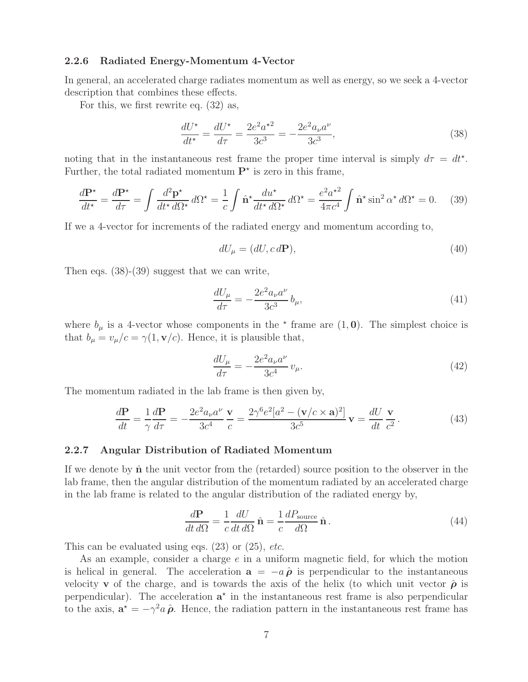#### **2.2.6 Radiated Energy-Momentum 4-Vector**

In general, an accelerated charge radiates momentum as well as energy, so we seek a 4-vector description that combines these effects.

For this, we first rewrite eq. (32) as,

$$
\frac{dU^*}{dt^*} = \frac{dU^*}{d\tau} = \frac{2e^2a^{*2}}{3c^3} = -\frac{2e^2a_\nu a^\nu}{3c^3},\tag{38}
$$

noting that in the instantaneous rest frame the proper time interval is simply  $d\tau = dt^*$ . Further, the total radiated momentum  $\mathbf{P}^*$  is zero in this frame,

$$
\frac{d\mathbf{P}^{\star}}{dt^{\star}} = \frac{d\mathbf{P}^{\star}}{d\tau} = \int \frac{d^2\mathbf{p}^{\star}}{dt^{\star} d\Omega^{\star}} d\Omega^{\star} = \frac{1}{c} \int \hat{\mathbf{n}}^{\star} \frac{du^{\star}}{dt^{\star} d\Omega^{\star}} d\Omega^{\star} = \frac{e^2 a^{\star 2}}{4\pi c^4} \int \hat{\mathbf{n}}^{\star} \sin^2 \alpha^{\star} d\Omega^{\star} = 0. \tag{39}
$$

If we a 4-vector for increments of the radiated energy and momentum according to,

$$
dU_{\mu} = (dU, c \, d\mathbf{P}),\tag{40}
$$

Then eqs. (38)-(39) suggest that we can write,

$$
\frac{dU_{\mu}}{d\tau} = -\frac{2e^2 a_{\nu} a^{\nu}}{3c^3} b_{\mu},\tag{41}
$$

where  $b_{\mu}$  is a 4-vector whose components in the  $\star$  frame are  $(1, 0)$ . The simplest choice is that  $b_{\mu} = v_{\mu}/c = \gamma(1, \mathbf{v}/c)$ . Hence, it is plausible that,

$$
\frac{dU_{\mu}}{d\tau} = -\frac{2e^2 a_{\nu} a^{\nu}}{3c^4} v_{\mu}.
$$
\n(42)

The momentum radiated in the lab frame is then given by,

$$
\frac{d\mathbf{P}}{dt} = \frac{1}{\gamma} \frac{d\mathbf{P}}{d\tau} = -\frac{2e^2 a_\nu a^\nu}{3c^4} \frac{\mathbf{v}}{c} = \frac{2\gamma^6 e^2 [a^2 - (\mathbf{v}/c \times \mathbf{a})^2]}{3c^5} \mathbf{v} = \frac{dU}{dt} \frac{\mathbf{v}}{c^2}.
$$
(43)

#### **2.2.7 Angular Distribution of Radiated Momentum**

If we denote by **n**ˆ the unit vector from the (retarded) source position to the observer in the lab frame, then the angular distribution of the momentum radiated by an accelerated charge in the lab frame is related to the angular distribution of the radiated energy by,

$$
\frac{d\mathbf{P}}{dt\,d\Omega} = \frac{1}{c}\frac{dU}{dt\,d\Omega}\,\hat{\mathbf{n}} = \frac{1}{c}\frac{dP_{\text{source}}}{d\Omega}\,\hat{\mathbf{n}}\,. \tag{44}
$$

This can be evaluated using eqs. (23) or (25), *etc.*

As an example, consider a charge e in a uniform magnetic field, for which the motion is helical in general. The acceleration  $\mathbf{a} = -a\hat{\boldsymbol{\rho}}$  is perpendicular to the instantaneous velocity **v** of the charge, and is towards the axis of the helix (to which unit vector  $\hat{\rho}$  is perpendicular). The acceleration  $a^*$  in the instantaneous rest frame is also perpendicular to the axis,  $\mathbf{a}^* = -\gamma^2 a \hat{\boldsymbol{\rho}}$ . Hence, the radiation pattern in the instantaneous rest frame has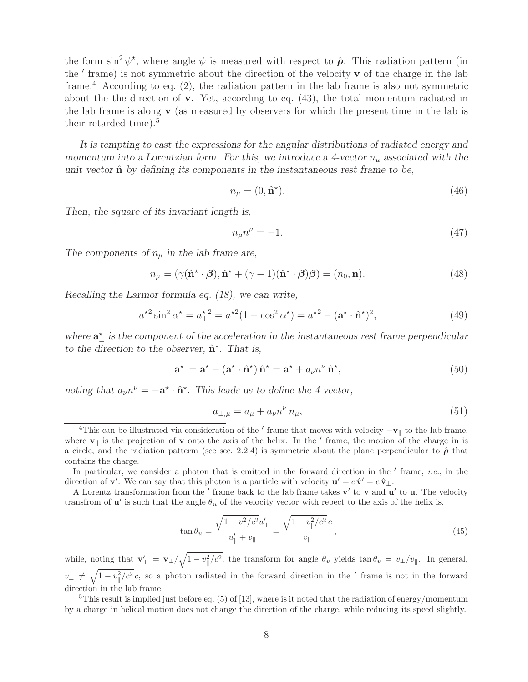the form  $\sin^2 \psi^*$ , where angle  $\psi$  is measured with respect to  $\hat{\boldsymbol{\rho}}$ . This radiation pattern (in the ' frame) is not symmetric about the direction of the velocity **v** of the charge in the lab frame.<sup>4</sup> According to eq.  $(2)$ , the radiation pattern in the lab frame is also not symmetric about the the direction of **v**. Yet, according to eq. (43), the total momentum radiated in the lab frame is along **v** (as measured by observers for which the present time in the lab is their retarded time).<sup>5</sup>

*It is tempting to cast the expressions for the angular distributions of radiated energy and momentum into a Lorentzian form. For this, we introduce a 4-vector*  $n_{\mu}$  associated with the *unit vector*  $\hat{\mathbf{n}}$  *by defining its components in the instantaneous rest frame to be,* 

$$
n_{\mu} = (0, \hat{\mathbf{n}}^{\star}).\tag{46}
$$

*Then, the square of its invariant length is,*

$$
n_{\mu}n^{\mu} = -1.\tag{47}
$$

The components of  $n_{\mu}$  in the lab frame are,

$$
n_{\mu} = (\gamma(\hat{\mathbf{n}}^{\star} \cdot \boldsymbol{\beta}), \hat{\mathbf{n}}^{\star} + (\gamma - 1)(\hat{\mathbf{n}}^{\star} \cdot \boldsymbol{\beta})\boldsymbol{\beta}) = (n_0, \mathbf{n}). \tag{48}
$$

*Recalling the Larmor formula eq. (18), we can write,*

$$
a^{*2}\sin^2\alpha^* = a^*_{\perp}^2 = a^{*2}(1 - \cos^2\alpha^*) = a^{*2} - (a^* \cdot \hat{n}^*)^2,
$$
\n(49)

where  $\mathbf{a}^*_{\perp}$  is the component of the acceleration in the instantaneous rest frame perpendicular *to the direction to the observer,* **n**ˆ-*. That is,*

$$
\mathbf{a}_{\perp}^{\star} = \mathbf{a}^{\star} - (\mathbf{a}^{\star} \cdot \hat{\mathbf{n}}^{\star}) \hat{\mathbf{n}}^{\star} = \mathbf{a}^{\star} + a_{\nu} n^{\nu} \hat{\mathbf{n}}^{\star},\tag{50}
$$

*noting that*  $a_{\nu}n^{\nu} = -\mathbf{a}^* \cdot \hat{\mathbf{n}}^*$ . This leads us to define the 4-vector,

$$
a_{\perp,\mu} = a_{\mu} + a_{\nu} n^{\nu} n_{\mu}, \tag{51}
$$

In particular, we consider a photon that is emitted in the forward direction in the  $'$  frame, *i.e.*, in the direction of **v**'. We can say that this photon is a particle with velocity  $\mathbf{u}' = c \hat{\mathbf{v}}' = c \hat{\mathbf{v}}_{\perp}$ .

A Lorentz transformation from the  $\prime$  frame back to the lab frame takes **v** $\prime$  to **v** and **u** $\prime$  to **u**. The velocity transfrom of  $\mathbf{u}'$  is such that the angle  $\theta_u$  of the velocity vector with repect to the axis of the helix is,

$$
\tan \theta_u = \frac{\sqrt{1 - v_{\parallel}^2/c^2} u'_{\perp}}{u'_{\parallel} + v_{\parallel}} = \frac{\sqrt{1 - v_{\parallel}^2/c^2} c}{v_{\parallel}},
$$
\n(45)

while, noting that  $\mathbf{v}'_{\perp} = \mathbf{v}_{\perp}/\sqrt{1 - v_{\parallel}^2/c^2}$ , the transform for angle  $\theta_v$  yields  $\tan \theta_v = v_{\perp}/v_{\parallel}$ . In general,  $v_{\perp} \neq \sqrt{1-v_{\parallel}^2/c^2}c$ , so a photon radiated in the forward direction in the  $\prime$  frame is not in the forward direction in the lab frame.

<sup>5</sup>This result is implied just before eq. (5) of [13], where is it noted that the radiation of energy/momentum by a charge in helical motion does not change the direction of the charge, while reducing its speed slightly.

<sup>&</sup>lt;sup>4</sup>This can be illustrated via consideration of the  $'$  frame that moves with velocity  $-\mathbf{v}_{\parallel}$  to the lab frame, where  $\mathbf{v}_{\parallel}$  is the projection of  $\mathbf{v}$  onto the axis of the helix. In the  $\prime$  frame, the motion of the charge in is a circle, and the radiation patterm (see sec. 2.2.4) is symmetric about the plane perpendicular to  $\hat{\rho}$  that contains the charge.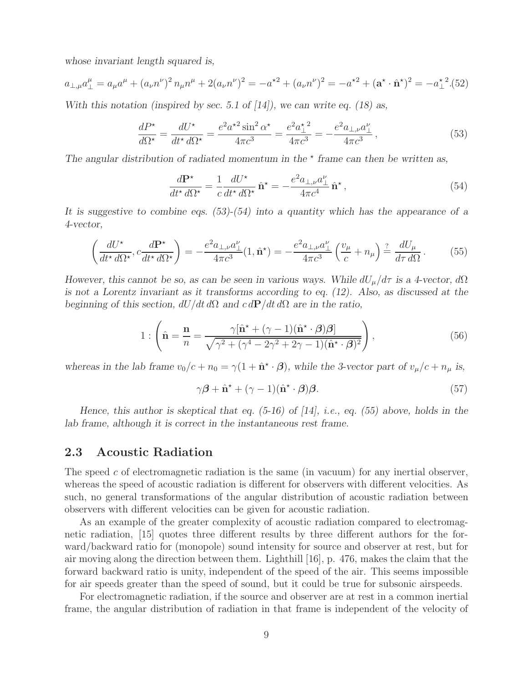*whose invariant length squared is,*

$$
a_{\perp,\mu}a_{\perp}^{\mu} = a_{\mu}a^{\mu} + (a_{\nu}n^{\nu})^2 n_{\mu}n^{\mu} + 2(a_{\nu}n^{\nu})^2 = -a^{\star 2} + (a_{\nu}n^{\nu})^2 = -a^{\star 2} + (\mathbf{a}^{\star} \cdot \hat{\mathbf{n}}^{\star})^2 = -a_{\perp}^{\star 2}.(52)
$$

*With this notation (inspired by sec. 5.1 of [14]), we can write eq. (18) as,*

$$
\frac{dP^{\star}}{d\Omega^{\star}} = \frac{dU^{\star}}{dt^{\star} d\Omega^{\star}} = \frac{e^2 a^{\star 2} \sin^2 \alpha^{\star}}{4\pi c^3} = \frac{e^2 a_{\perp}^{\star 2}}{4\pi c^3} = -\frac{e^2 a_{\perp, \nu} a_{\perp}^{\nu}}{4\pi c^3},
$$
(53)

The angular distribution of radiated momentum in the  $*$  frame can then be written as,

$$
\frac{d\mathbf{P}^{\star}}{dt^{\star} d\Omega^{\star}} = \frac{1}{c} \frac{dU^{\star}}{dt^{\star} d\Omega^{\star}} \hat{\mathbf{n}}^{\star} = -\frac{e^2 a_{\perp,\nu} a_{\perp}^{\nu}}{4\pi c^4} \hat{\mathbf{n}}^{\star},\tag{54}
$$

*It is suggestive to combine eqs. (53)-(54) into a quantity which has the appearance of a 4-vector,*

$$
\left(\frac{dU^{\star}}{dt^{\star} d\Omega^{\star}}, c\frac{d\mathbf{P}^{\star}}{dt^{\star} d\Omega^{\star}}\right) = -\frac{e^2 a_{\perp,\nu} a_{\perp}^{\nu}}{4\pi c^3} (1, \hat{\mathbf{n}}^{\star}) = -\frac{e^2 a_{\perp,\nu} a_{\perp}^{\nu}}{4\pi c^3} \left(\frac{v_{\mu}}{c} + n_{\mu}\right) \stackrel{?}{=} \frac{dU_{\mu}}{d\tau d\Omega} \,. \tag{55}
$$

*However, this cannot be so, as can be seen in various ways. While*  $dU_{\mu}/d\tau$  *is a 4-vector,*  $d\Omega$ *is not a Lorentz invariant as it transforms according to eq. (12). Also, as discussed at the beginning of this section,*  $dU/dt d\Omega$  *and*  $c dP/dt d\Omega$  *are in the ratio,* 

$$
1: \left(\hat{\mathbf{n}} = \frac{\mathbf{n}}{n} = \frac{\gamma[\hat{\mathbf{n}}^{\star} + (\gamma - 1)(\hat{\mathbf{n}}^{\star} \cdot \boldsymbol{\beta})\boldsymbol{\beta}]}{\sqrt{\gamma^2 + (\gamma^4 - 2\gamma^2 + 2\gamma - 1)(\hat{\mathbf{n}}^{\star} \cdot \boldsymbol{\beta})^2}}\right),
$$
\n(56)

*whereas in the lab frame*  $v_0/c + n_0 = \gamma(1 + \hat{\mathbf{n}}^* \cdot \boldsymbol{\beta})$ , while the 3-vector part of  $v_\mu/c + n_\mu$  is,

$$
\gamma \boldsymbol{\beta} + \hat{\mathbf{n}}^{\star} + (\gamma - 1)(\hat{\mathbf{n}}^{\star} \cdot \boldsymbol{\beta})\boldsymbol{\beta}.
$$
 (57)

*Hence, this author is skeptical that eq. (5-16) of [14], i.e., eq. (55) above, holds in the lab frame, although it is correct in the instantaneous rest frame.*

### **2.3 Acoustic Radiation**

The speed c of electromagnetic radiation is the same (in vacuum) for any inertial observer, whereas the speed of acoustic radiation is different for observers with different velocities. As such, no general transformations of the angular distribution of acoustic radiation between observers with different velocities can be given for acoustic radiation.

As an example of the greater complexity of acoustic radiation compared to electromagnetic radiation, [15] quotes three different results by three different authors for the forward/backward ratio for (monopole) sound intensity for source and observer at rest, but for air moving along the direction between them. Lighthill [16], p. 476, makes the claim that the forward backward ratio is unity, independent of the speed of the air. This seems impossible for air speeds greater than the speed of sound, but it could be true for subsonic airspeeds.

For electromagnetic radiation, if the source and observer are at rest in a common inertial frame, the angular distribution of radiation in that frame is independent of the velocity of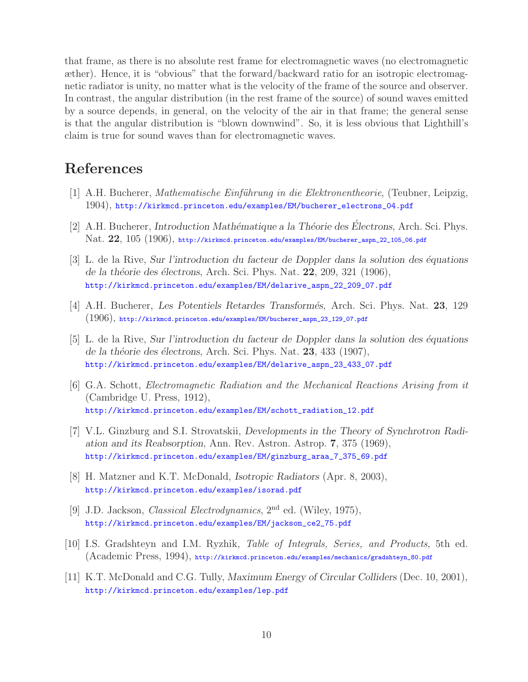that frame, as there is no absolute rest frame for electromagnetic waves (no electromagnetic æther). Hence, it is "obvious" that the forward/backward ratio for an isotropic electromagnetic radiator is unity, no matter what is the velocity of the frame of the source and observer. In contrast, the angular distribution (in the rest frame of the source) of sound waves emitted by a source depends, in general, on the velocity of the air in that frame; the general sense is that the angular distribution is "blown downwind". So, it is less obvious that Lighthill's claim is true for sound waves than for electromagnetic waves.

# **References**

- [1] A.H. Bucherer, *Mathematische Einf¨uhrung in die Elektronentheorie*, (Teubner, Leipzig, 1904), http://kirkmcd.princeton.edu/examples/EM/bucherer\_electrons\_04.pdf
- [2] A.H. Bucherer, *Introduction Mathématique a la Théorie des Electrons*, Arch. Sci. Phys. Nat. **22**, 105 (1906), http://kirkmcd.princeton.edu/examples/EM/bucherer\_aspn\_22\_105\_06.pdf
- [3] L. de la Rive, *Sur l'introduction du facteur de Doppler dans la solution des ´equations de la th´eorie des ´electrons*, Arch. Sci. Phys. Nat. **22**, 209, 321 (1906), http://kirkmcd.princeton.edu/examples/EM/delarive\_aspn\_22\_209\_07.pdf
- [4] A.H. Bucherer, *Les Potentiels Retardes Transform´es*, Arch. Sci. Phys. Nat. **23**, 129  $(1906)$ , http://kirkmcd.princeton.edu/examples/EM/bucherer\_aspn\_23\_129\_07.pdf
- [5] L. de la Rive, *Sur l'introduction du facteur de Doppler dans la solution des ´equations de la th´eorie des ´electrons*, Arch. Sci. Phys. Nat. **23**, 433 (1907), http://kirkmcd.princeton.edu/examples/EM/delarive\_aspn\_23\_433\_07.pdf
- [6] G.A. Schott, *Electromagnetic Radiation and the Mechanical Reactions Arising from it* (Cambridge U. Press, 1912), http://kirkmcd.princeton.edu/examples/EM/schott\_radiation\_12.pdf
- [7] V.L. Ginzburg and S.I. Strovatskii, *Developments in the Theory of Synchrotron Radiation and its Reabsorption*, Ann. Rev. Astron. Astrop. **7**, 375 (1969), http://kirkmcd.princeton.edu/examples/EM/ginzburg\_araa\_7\_375\_69.pdf
- [8] H. Matzner and K.T. McDonald, *Isotropic Radiators* (Apr. 8, 2003), http://kirkmcd.princeton.edu/examples/isorad.pdf
- [9] J.D. Jackson, *Classical Electrodynamics*, 2nd ed. (Wiley, 1975), http://kirkmcd.princeton.edu/examples/EM/jackson\_ce2\_75.pdf
- [10] I.S. Gradshteyn and I.M. Ryzhik, *Table of Integrals, Series, and Products*, 5th ed. (Academic Press, 1994), http://kirkmcd.princeton.edu/examples/mechanics/gradshteyn\_80.pdf
- [11] K.T. McDonald and C.G. Tully, *Maximum Energy of Circular Colliders* (Dec. 10, 2001), http://kirkmcd.princeton.edu/examples/lep.pdf